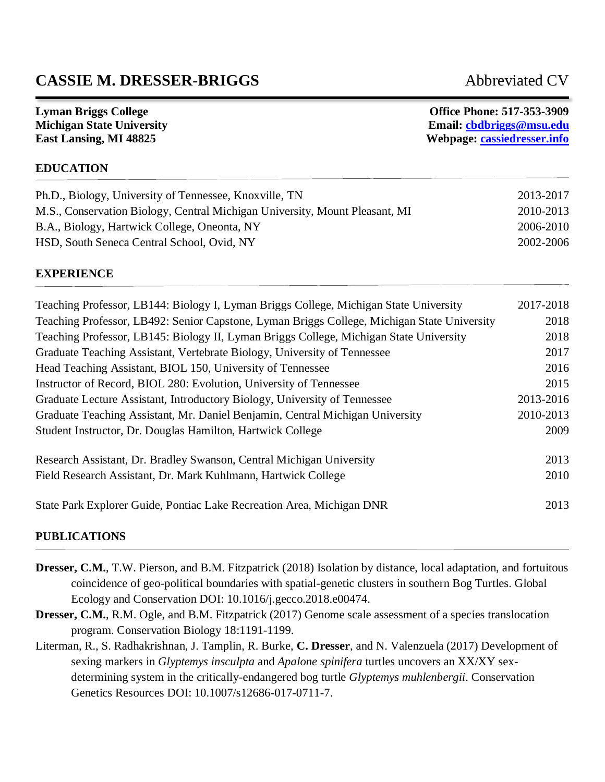# **CASSIE M. DRESSER-BRIGGS** Abbreviated CV

**Lyman Briggs College Office Phone: 517-353-3909 Michigan State University Email: [cbdbriggs@msu.edu](mailto:cbdbriggs@msu.edu) East Lansing, MI 48825 Webpage:<cassiedresser.info>**

### **EDUCATION**

| Ph.D., Biology, University of Tennessee, Knoxville, TN                      | 2013-2017 |
|-----------------------------------------------------------------------------|-----------|
| M.S., Conservation Biology, Central Michigan University, Mount Pleasant, MI | 2010-2013 |
| B.A., Biology, Hartwick College, Oneonta, NY                                | 2006-2010 |
| HSD, South Seneca Central School, Ovid, NY                                  | 2002-2006 |

#### **EXPERIENCE**

| Teaching Professor, LB144: Biology I, Lyman Briggs College, Michigan State University       | 2017-2018 |
|---------------------------------------------------------------------------------------------|-----------|
| Teaching Professor, LB492: Senior Capstone, Lyman Briggs College, Michigan State University | 2018      |
| Teaching Professor, LB145: Biology II, Lyman Briggs College, Michigan State University      | 2018      |
| Graduate Teaching Assistant, Vertebrate Biology, University of Tennessee                    | 2017      |
| Head Teaching Assistant, BIOL 150, University of Tennessee                                  | 2016      |
| Instructor of Record, BIOL 280: Evolution, University of Tennessee                          | 2015      |
| Graduate Lecture Assistant, Introductory Biology, University of Tennessee                   | 2013-2016 |
| Graduate Teaching Assistant, Mr. Daniel Benjamin, Central Michigan University               | 2010-2013 |
| Student Instructor, Dr. Douglas Hamilton, Hartwick College                                  | 2009      |
| Research Assistant, Dr. Bradley Swanson, Central Michigan University                        | 2013      |
| Field Research Assistant, Dr. Mark Kuhlmann, Hartwick College                               | 2010      |
| State Park Explorer Guide, Pontiac Lake Recreation Area, Michigan DNR                       | 2013      |

#### **PUBLICATIONS**

- **Dresser, C.M.**, T.W. Pierson, and B.M. Fitzpatrick (2018) Isolation by distance, local adaptation, and fortuitous coincidence of geo-political boundaries with spatial-genetic clusters in southern Bog Turtles. Global Ecology and Conservation DOI: 10.1016/j.gecco.2018.e00474.
- **Dresser, C.M.**, R.M. Ogle, and B.M. Fitzpatrick (2017) Genome scale assessment of a species translocation program. Conservation Biology 18:1191-1199.
- Literman, R., S. Radhakrishnan, J. Tamplin, R. Burke, **C. Dresser**, and N. Valenzuela (2017) Development of sexing markers in *Glyptemys insculpta* and *Apalone spinifera* turtles uncovers an XX/XY sexdetermining system in the critically-endangered bog turtle *Glyptemys muhlenbergii*. Conservation Genetics Resources DOI: 10.1007/s12686-017-0711-7.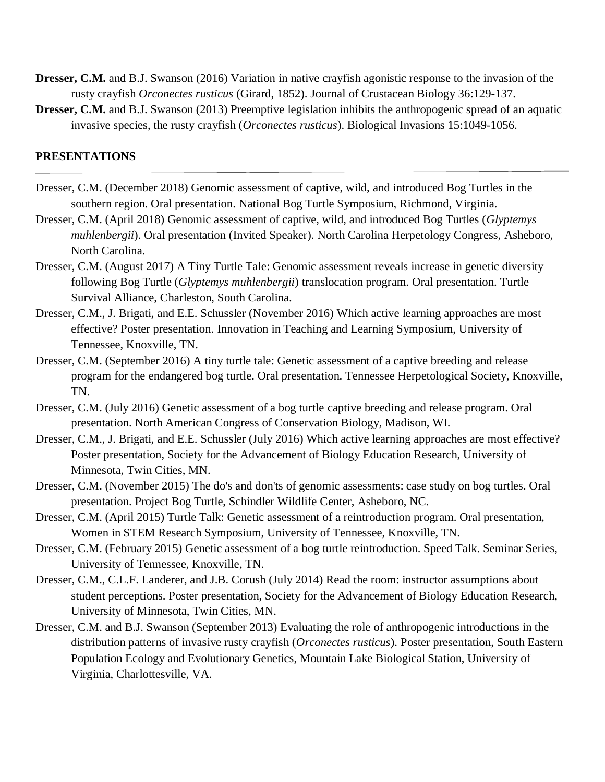- **Dresser, C.M.** and B.J. Swanson (2016) Variation in native crayfish agonistic response to the invasion of the rusty crayfish *Orconectes rusticus* (Girard, 1852). Journal of Crustacean Biology 36:129-137.
- **Dresser, C.M.** and B.J. Swanson (2013) Preemptive legislation inhibits the anthropogenic spread of an aquatic invasive species, the rusty crayfish (*Orconectes rusticus*). Biological Invasions 15:1049-1056.

#### **PRESENTATIONS**

- Dresser, C.M. (December 2018) Genomic assessment of captive, wild, and introduced Bog Turtles in the southern region. Oral presentation. National Bog Turtle Symposium, Richmond, Virginia.
- Dresser, C.M. (April 2018) Genomic assessment of captive, wild, and introduced Bog Turtles (*Glyptemys muhlenbergii*). Oral presentation (Invited Speaker). North Carolina Herpetology Congress, Asheboro, North Carolina.
- Dresser, C.M. (August 2017) A Tiny Turtle Tale: Genomic assessment reveals increase in genetic diversity following Bog Turtle (*Glyptemys muhlenbergii*) translocation program. Oral presentation. Turtle Survival Alliance, Charleston, South Carolina.
- Dresser, C.M., J. Brigati, and E.E. Schussler (November 2016) Which active learning approaches are most effective? Poster presentation. Innovation in Teaching and Learning Symposium, University of Tennessee, Knoxville, TN.
- Dresser, C.M. (September 2016) A tiny turtle tale: Genetic assessment of a captive breeding and release program for the endangered bog turtle. Oral presentation. Tennessee Herpetological Society, Knoxville, TN.
- Dresser, C.M. (July 2016) Genetic assessment of a bog turtle captive breeding and release program. Oral presentation. North American Congress of Conservation Biology, Madison, WI.
- Dresser, C.M., J. Brigati, and E.E. Schussler (July 2016) Which active learning approaches are most effective? Poster presentation, Society for the Advancement of Biology Education Research, University of Minnesota, Twin Cities, MN.
- Dresser, C.M. (November 2015) The do's and don'ts of genomic assessments: case study on bog turtles. Oral presentation. Project Bog Turtle, Schindler Wildlife Center, Asheboro, NC.
- Dresser, C.M. (April 2015) Turtle Talk: Genetic assessment of a reintroduction program. Oral presentation, Women in STEM Research Symposium, University of Tennessee, Knoxville, TN.
- Dresser, C.M. (February 2015) Genetic assessment of a bog turtle reintroduction. Speed Talk. Seminar Series, University of Tennessee, Knoxville, TN.
- Dresser, C.M., C.L.F. Landerer, and J.B. Corush (July 2014) Read the room: instructor assumptions about student perceptions. Poster presentation, Society for the Advancement of Biology Education Research, University of Minnesota, Twin Cities, MN.
- Dresser, C.M. and B.J. Swanson (September 2013) Evaluating the role of anthropogenic introductions in the distribution patterns of invasive rusty crayfish (*Orconectes rusticus*). Poster presentation, South Eastern Population Ecology and Evolutionary Genetics, Mountain Lake Biological Station, University of Virginia, Charlottesville, VA.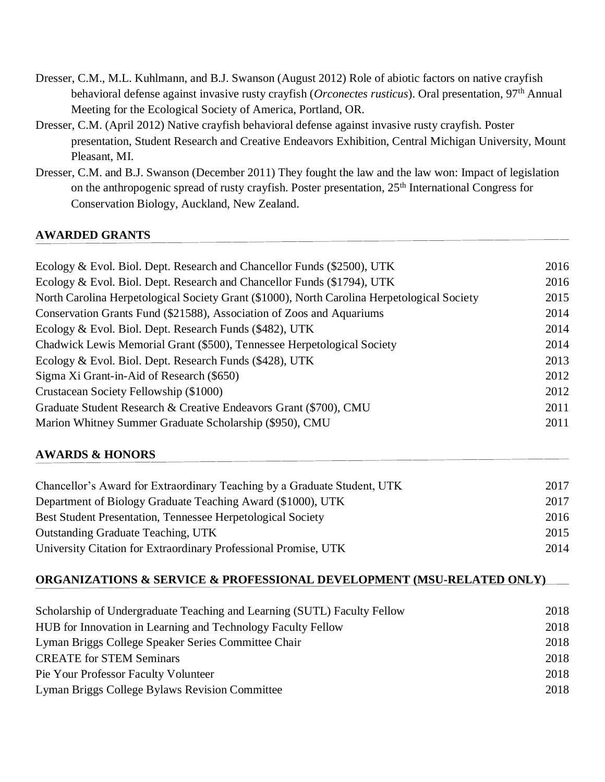- Dresser, C.M., M.L. Kuhlmann, and B.J. Swanson (August 2012) Role of abiotic factors on native crayfish behavioral defense against invasive rusty crayfish (*Orconectes rusticus*). Oral presentation, 97th Annual Meeting for the Ecological Society of America, Portland, OR.
- Dresser, C.M. (April 2012) Native crayfish behavioral defense against invasive rusty crayfish. Poster presentation, Student Research and Creative Endeavors Exhibition, Central Michigan University, Mount Pleasant, MI.
- Dresser, C.M. and B.J. Swanson (December 2011) They fought the law and the law won: Impact of legislation on the anthropogenic spread of rusty crayfish. Poster presentation, 25<sup>th</sup> International Congress for Conservation Biology, Auckland, New Zealand.

## **AWARDED GRANTS**

| Ecology & Evol. Biol. Dept. Research and Chancellor Funds (\$2500), UTK                     | 2016 |
|---------------------------------------------------------------------------------------------|------|
| Ecology & Evol. Biol. Dept. Research and Chancellor Funds (\$1794), UTK                     | 2016 |
| North Carolina Herpetological Society Grant (\$1000), North Carolina Herpetological Society | 2015 |
| Conservation Grants Fund (\$21588), Association of Zoos and Aquariums                       | 2014 |
| Ecology & Evol. Biol. Dept. Research Funds (\$482), UTK                                     | 2014 |
| Chadwick Lewis Memorial Grant (\$500), Tennessee Herpetological Society                     | 2014 |
| Ecology & Evol. Biol. Dept. Research Funds (\$428), UTK                                     | 2013 |
| Sigma Xi Grant-in-Aid of Research (\$650)                                                   | 2012 |
| Crustacean Society Fellowship (\$1000)                                                      | 2012 |
| Graduate Student Research & Creative Endeavors Grant (\$700), CMU                           | 2011 |
| Marion Whitney Summer Graduate Scholarship (\$950), CMU                                     | 2011 |
| <b>AWARDS &amp; HONORS</b>                                                                  |      |

| Chancellor's Award for Extraordinary Teaching by a Graduate Student, UTK | 2017 |
|--------------------------------------------------------------------------|------|
| Department of Biology Graduate Teaching Award (\$1000), UTK              | 2017 |
| Best Student Presentation, Tennessee Herpetological Society              | 2016 |
| <b>Outstanding Graduate Teaching, UTK</b>                                | 2015 |
| University Citation for Extraordinary Professional Promise, UTK          | 2014 |

#### **ORGANIZATIONS & SERVICE & PROFESSIONAL DEVELOPMENT (MSU-RELATED ONLY)**

| Scholarship of Undergraduate Teaching and Learning (SUTL) Faculty Fellow | 2018 |
|--------------------------------------------------------------------------|------|
| HUB for Innovation in Learning and Technology Faculty Fellow             | 2018 |
| Lyman Briggs College Speaker Series Committee Chair                      | 2018 |
| <b>CREATE</b> for <b>STEM</b> Seminars                                   | 2018 |
| Pie Your Professor Faculty Volunteer                                     | 2018 |
| Lyman Briggs College Bylaws Revision Committee                           | 2018 |